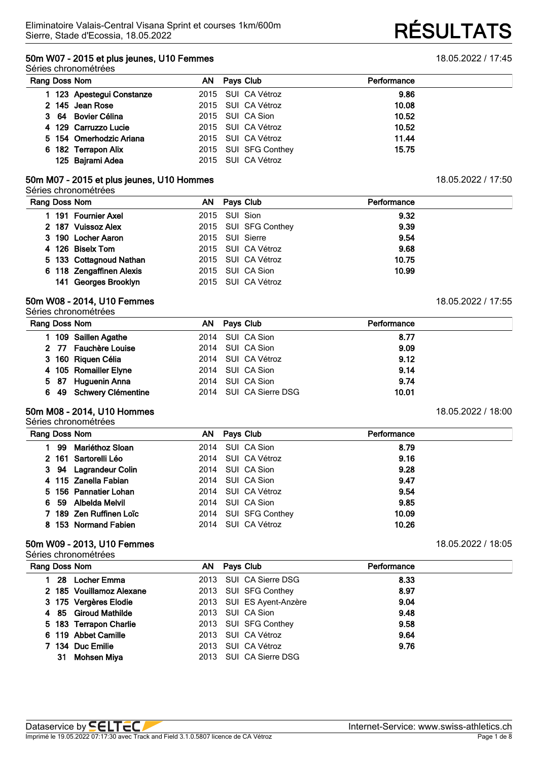#### 50m W07 - 2015 et plus jeunes, U10 Femmes

Séries chronométrées

| .                  |
|--------------------|
|                    |
| 18.05.2022 / 17:45 |

| Rang Doss Nom             | AN Pays Club         | Performance |  |
|---------------------------|----------------------|-------------|--|
| 1 123 Apestegui Constanze | 2015 SUI CA Vétroz   | 9.86        |  |
| 2 145 Jean Rose           | 2015 SUI CA Vétroz   | 10.08       |  |
| 3 64 Bovier Célina        | 2015 SUI CA Sion     | 10.52       |  |
| 4 129 Carruzzo Lucie      | 2015 SUI CA Vétroz   | 10.52       |  |
| 5 154 Omerhodzic Ariana   | 2015 SUI CA Vétroz   | 11.44       |  |
| 6 182 Terrapon Alix       | 2015 SUI SFG Conthey | 15.75       |  |
| 125 Bajrami Adea          | 2015 SUI CA Vétroz   |             |  |

#### **50m M07 - 2015 et plus jeunes, U10 Hommes** 18.05.2022 / 17:50

### Séries chronométrées

| Rang Doss Nom            |               | AN Pays Club |                      | Performance |  |
|--------------------------|---------------|--------------|----------------------|-------------|--|
| 1 191 Fournier Axel      | 2015 SUI Sion |              |                      | 9.32        |  |
| 2 187 Vuissoz Alex       |               |              | 2015 SUI SFG Conthey | 9.39        |  |
| 3 190 Locher Aaron       |               |              | 2015 SUI Sierre      | 9.54        |  |
| 4 126 Biselx Tom         |               |              | 2015 SUI CA Vétroz   | 9.68        |  |
| 5 133 Cottagnoud Nathan  |               |              | 2015 SUI CA Vétroz   | 10.75       |  |
| 6 118 Zengaffinen Alexis |               |              | 2015 SUI CA Sion     | 10.99       |  |
| 141 Georges Brooklyn     |               |              | 2015 SUI CA Vétroz   |             |  |

#### **50m W08 - 2014, U10 Femmes** 18.05.2022 / 17:55

|               |  | Séries chronométrées    |                        |             |  |
|---------------|--|-------------------------|------------------------|-------------|--|
| Rang Doss Nom |  |                         | AN Pays Club           | Performance |  |
|               |  | 1 109 Saillen Agathe    | 2014 SUI CA Sion       | 8.77        |  |
|               |  | 2 77 Fauchère Louise    | 2014 SUI CA Sion       | 9.09        |  |
|               |  | 3 160 Riquen Célia      | 2014 SUI CA Vétroz     | 9.12        |  |
|               |  | 4 105 Romailler Elyne   | 2014 SUI CA Sion       | 9.14        |  |
|               |  | 5 87 Huguenin Anna      | 2014 SUI CA Sion       | 9.74        |  |
|               |  | 6 49 Schwery Clémentine | 2014 SUI CA Sierre DSG | 10.01       |  |

#### **50m M08 - 2014, U10 Hommes** 18.05.2022 / 18:00

### Séries chronométrées **Rang Doss Nom AN Pays Club Performance 99 Mariéthoz Sloan** 2014 SUI CA Sion **8.79 161 Sartorelli Léo** 2014 SUI CA Vétroz **9.16 94 Lagrandeur Colin** 2014 SUI CA Sion **9.28 115 Zanella Fabian** 2014 SUI CA Sion **9.47 156 Pannatier Lohan** 2014 SUI CA Vétroz **9.54 59 Albelda Melvil** 2014 SUI CA Sion **9.85 189 Zen Ruffinen Loïc** 2014 SUI SFG Conthey **10.09 153 Normand Fabien** 2014 SUI CA Vétroz **10.26**

### **50m W09 - 2013, U10 Femmes** 18.05.2022 / 18:05

| Séries chronométrées |
|----------------------|
|                      |

| Rang Doss Nom            |  | AN Pays Club             | Performance |
|--------------------------|--|--------------------------|-------------|
| 28 Locher Emma           |  | 2013 SUI CA Sierre DSG   | 8.33        |
| 2 185 Vouillamoz Alexane |  | 2013 SUI SFG Conthey     | 8.97        |
| 3 175 Vergères Elodie    |  | 2013 SUI ES Ayent-Anzère | 9.04        |
| 4 85 Giroud Mathilde     |  | 2013 SUI CA Sion         | 9.48        |
| 5 183 Terrapon Charlie   |  | 2013 SUI SFG Conthey     | 9.58        |
| 6 119 Abbet Camille      |  | 2013 SUI CA Vétroz       | 9.64        |
| 7 134 Duc Emilie         |  | 2013 SUI CA Vétroz       | 9.76        |
| Mohsen Miya<br>31        |  | 2013 SUI CA Sierre DSG   |             |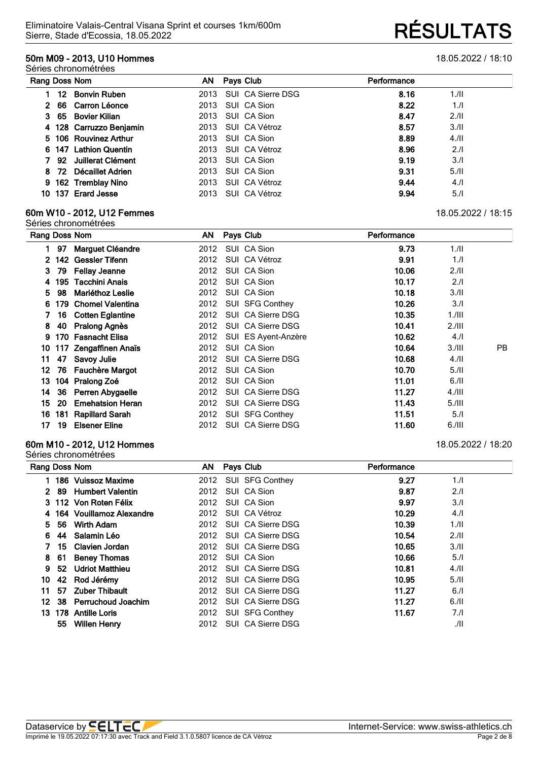#### **50m M09 - 2013, U10 Hommes** 18.05.2022 / 18:10

#### Séries chronométrées

| Rang Doss Nom    |                         | AN   | Pays Club         | Performance |      |
|------------------|-------------------------|------|-------------------|-------------|------|
| 12 <sup>12</sup> | <b>Bonvin Ruben</b>     | 2013 | SUI CA Sierre DSG | 8.16        | 1.11 |
|                  | 2 66 Carron Léonce      | 2013 | SUI CA Sion       | 8.22        | 1.1  |
|                  | 3 65 Bovier Kilian      | 2013 | SUI CA Sion       | 8.47        | 2.11 |
|                  | 4 128 Carruzzo Benjamin | 2013 | SUI CA Vétroz     | 8.57        | 3.11 |
|                  | 5 106 Rouvinez Arthur   | 2013 | SUI CA Sion       | 8.89        | 4.11 |
|                  | 6 147 Lathion Quentin   | 2013 | SUI CA Vétroz     | 8.96        | 2.11 |
|                  | 7 92 Juillerat Clément  | 2013 | SUI CA Sion       | 9.19        | 3.1  |
|                  | 8 72 Décaillet Adrien   | 2013 | SUI CA Sion       | 9.31        | 5.11 |
|                  | 9 162 Tremblay Nino     | 2013 | SUI CA Vétroz     | 9.44        | 4.1  |
| 10.              | 137 Erard Jesse         | 2013 | SUI CA Vétroz     | 9.94        | 5.1  |

#### **60m W10 - 2012, U12 Femmes** 18.05.2022 / 18:15

Séries chronométrées

| Rang Doss Nom |     |                         | AN   | Pays Club           | Performance |           |     |
|---------------|-----|-------------------------|------|---------------------|-------------|-----------|-----|
| 1             | 97  | Marguet Cléandre        | 2012 | SUI CA Sion         | 9.73        | 1.11      |     |
|               |     | 2 142 Gessler Tifenn    | 2012 | SUI CA Vétroz       | 9.91        | 1.1       |     |
| 3             | 79  | <b>Fellay Jeanne</b>    | 2012 | SUI CA Sion         | 10.06       | 2.11      |     |
| 4             | 195 | Tacchini Anais          | 2012 | SUI CA Sion         | 10.17       | 2.1       |     |
| 5.            | 98  | Mariéthoz Leslie        | 2012 | SUI CA Sion         | 10.18       | 3.11      |     |
| 6             | 179 | <b>Chomel Valentina</b> | 2012 | SUI SFG Conthey     | 10.26       | 3.1       |     |
|               | 16. | <b>Cotten Eglantine</b> | 2012 | SUI CA Sierre DSG   | 10.35       | $1.1$ III |     |
| 8             | 40  | <b>Pralong Agnès</b>    | 2012 | SUI CA Sierre DSG   | 10.41       | 2.111     |     |
| 9             |     | 170 Fasnacht Elisa      | 2012 | SUI ES Ayent-Anzère | 10.62       | 4.1       |     |
| 10            | 117 | Zengaffinen Anaïs       | 2012 | SUI CA Sion         | 10.64       | 3.111     | PB. |
| 11            | 47  | <b>Savoy Julie</b>      | 2012 | SUI CA Sierre DSG   | 10.68       | $4.$ /II  |     |
| 12.           |     | 76 Fauchère Margot      | 2012 | SUI CA Sion         | 10.70       | 5.11      |     |
| 13.           |     | 104 Pralong Zoé         | 2012 | SUI CA Sion         | 11.01       | 6.11      |     |
| 14            | 36  | Perren Abygaelle        | 2012 | SUI CA Sierre DSG   | 11.27       | $4.1$ III |     |
| 15            | 20  | <b>Emehatsion Heran</b> | 2012 | SUI CA Sierre DSG   | 11.43       | 5.111     |     |
| 16            | 181 | <b>Rapillard Sarah</b>  | 2012 | SUI SFG Conthey     | 11.51       | 5.1       |     |
| 17            | 19  | <b>Elsener Eline</b>    | 2012 | SUI CA Sierre DSG   | 11.60       | 6.111     |     |
|               |     |                         |      |                     |             |           |     |

#### **60m M10 - 2012, U12 Hommes** 18.05.2022 / 18:20

Séries chronométrées

**Rang Doss Nom AN Pays Club Performance 186 Vuissoz Maxime** 2012 SUI SFG Conthey **9.27** 1./I **89 Humbert Valentin** 2012 SUI CA Sion **9.87** 2./I **112 Von Roten Félix** 2012 SUI CA Sion **9.97** 3./I **164 Vouillamoz Alexandre** 2012 SUI CA Vétroz **10.29** 4./I **56 Wirth Adam** 2012 SUI CA Sierre DSG **10.39** 1./II **44 Salamin Léo** 2012 SUI CA Sierre DSG **10.54** 2./II **15 Clavien Jordan** 2012 SUI CA Sierre DSG **10.65** 3./II **61 Beney Thomas** 2012 SUI CA Sion **10.66** 5./I **52 Udriot Matthieu** 2012 SUI CA Sierre DSG **10.81** 4./II **42 Rod Jérémy** 2012 SUI CA Sierre DSG **10.95** 5./II **57 Zuber Thibault** 2012 SUI CA Sierre DSG **11.27** 6./I **38 Perruchoud Joachim** 2012 SUI CA Sierre DSG **11.27** 6./II **178 Antille Loris** 2012 SUI SFG Conthey **11.67** 7./I **Willen Henry** 2012 SUI CA Sierre DSG ./II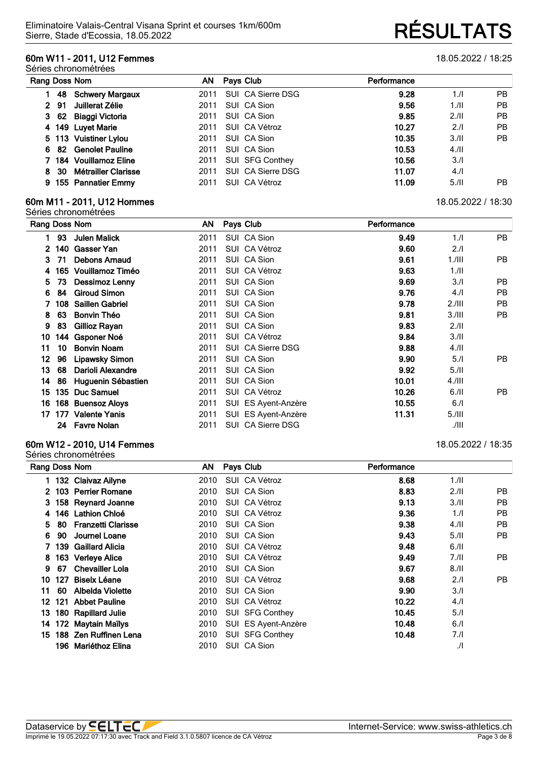### **60m W11 - 2011, U12 Femmes** 18.05.2022 / 18:25

#### Séries chronométrées

| Rang Doss Nom                         |      | Pays Club              | Performance |      |     |
|---------------------------------------|------|------------------------|-------------|------|-----|
| <b>Schwery Margaux</b><br>48          | 2011 | SUI CA Sierre DSG      | 9.28        | 1.1  | РB  |
| 2 91<br>Juillerat Zélie               | 2011 | SUI CA Sion            | 9.56        | 1/11 | PB  |
| 62<br>Biaggi Victoria<br>З.           | 2011 | SUI CA Sion            | 9.85        | 2.11 | PB  |
| 4 149 Luyet Marie                     | 2011 | SUI CA Vétroz          | 10.27       | 2.11 | РB  |
| 5 113 Vuistiner Lylou                 | 2011 | SUI CA Sion            | 10.35       | 3/II | РB  |
| 82 Genolet Pauline<br>6.              | 2011 | SUI CA Sion            | 10.53       | 4.11 |     |
| 184 Vouillamoz Eline                  | 2011 | <b>SUI SFG Conthey</b> | 10.56       | 3.1  |     |
| <b>Métrailler Clarisse</b><br>30<br>8 | 2011 | SUI CA Sierre DSG      | 11.07       | 4.1  |     |
| 9 155 Pannatier Emmy                  | 2011 | SUI CA Vétroz          | 11.09       | 5.11 | PB. |

#### **60m M11 - 2011, U12 Hommes** 18.05.2022 / 18:30

#### Séries chronométrées

| Rang Doss Nom |                        | AN   | Pays Club                   | Performance |           |           |
|---------------|------------------------|------|-----------------------------|-------------|-----------|-----------|
| 93            | <b>Julen Malick</b>    | 2011 | SUI CA Sion                 | 9.49        | 1.1       | PB        |
| 2<br>140      | Gasser Yan             | 2011 | SUI CA Vétroz               | 9.60        | 2.1       |           |
| 71<br>3       | <b>Debons Arnaud</b>   | 2011 | CA Sion<br>SUI              | 9.61        | 1.711     | PB        |
| 165<br>4      | Vouillamoz Timéo       | 2011 | CA Vétroz<br>SUI            | 9.63        | 1.11      |           |
| 73<br>5       | <b>Dessimoz Lenny</b>  | 2011 | SUI CA Sion                 | 9.69        | 3.1       | <b>PB</b> |
| 84<br>6       | <b>Giroud Simon</b>    | 2011 | SUI CA Sion                 | 9.76        | 4.1       | <b>PB</b> |
| 108           | <b>Saillen Gabriel</b> | 2011 | SUI CA Sion                 | 9.78        | 2.111     | <b>PB</b> |
| 63<br>8       | Bonvin Théo            | 2011 | SUI CA Sion                 | 9.81        | 3.111     | <b>PB</b> |
| 9<br>83       | <b>Gillioz Rayan</b>   | 2011 | SUI CA Sion                 | 9.83        | 2.11      |           |
| 144<br>10     | <b>Gsponer Noé</b>     | 2011 | SUI CA Vétroz               | 9.84        | 3.11      |           |
| 10<br>11      | <b>Bonvin Noam</b>     | 2011 | SUI CA Sierre DSG           | 9.88        | 4.11      |           |
| 96<br>12      | <b>Lipawsky Simon</b>  | 2011 | SUI CA Sion                 | 9.90        | 5.1       | PB        |
| 68<br>13      | Darioli Alexandre      | 2011 | SUI CA Sion                 | 9.92        | 5.11      |           |
| 14<br>86      | Huguenin Sébastien     | 2011 | SUI CA Sion                 | 10.01       | $4.1$ III |           |
| 135<br>15     | <b>Duc Samuel</b>      | 2011 | SUI CA Vétroz               | 10.26       | 6.11      | PB        |
| 168<br>16     | <b>Buensoz Aloys</b>   | 2011 | SUI ES Ayent-Anzère         | 10.55       | 6.1       |           |
| 17<br>177     | <b>Valente Yanis</b>   | 2011 | ES Ayent-Anzère<br>SUI      | 11.31       | 5.111     |           |
| 24            | <b>Favre Nolan</b>     | 2011 | CA Sierre DSG<br><b>SUI</b> |             | ./III     |           |

### **60m W12 - 2010, U14 Femmes** 18.05.2022 / 18:35

Séries chronométrées

| Rang Doss Nom |     |                           | AN   | Pays Club              | Performance |                |           |
|---------------|-----|---------------------------|------|------------------------|-------------|----------------|-----------|
|               |     | 1 132 Claivaz Ailyne      | 2010 | SUI CA Vétroz          | 8.68        | 1.11           |           |
| $2^{\circ}$   |     | 103 Perrier Romane        | 2010 | SUI CA Sion            | 8.83        | 2.11           | <b>PB</b> |
| З.            |     | 158 Reynard Joanne        | 2010 | SUI CA Vétroz          | 9.13        | 3.11           | <b>PB</b> |
| 4             |     | 146 Lathion Chloé         | 2010 | SUI CA Vétroz          | 9.36        | 1.1            | <b>PB</b> |
| 5.            | 80  | <b>Franzetti Clarisse</b> | 2010 | SUI CA Sion            | 9.38        | 4.11           | <b>PB</b> |
| 6             | 90  | Journel Loane             | 2010 | SUI CA Sion            | 9.43        | 5.11           | <b>PB</b> |
|               | 139 | <b>Gaillard Alicia</b>    | 2010 | SUI CA Vétroz          | 9.48        | 6.11           |           |
| 8             |     | 163 Verleye Alice         | 2010 | SUI CA Vétroz          | 9.49        | 7.11           | PB.       |
| 9             | 67  | <b>Chevailler Lola</b>    | 2010 | SUI CA Sion            | 9.67        | 8.11           |           |
| 10            | 127 | <b>Biselx Léane</b>       | 2010 | SUI CA Vétroz          | 9.68        | 2.1            | <b>PB</b> |
| 11            | 60  | Albelda Violette          | 2010 | SUI CA Sion            | 9.90        | 3.1            |           |
| 12.           | 121 | <b>Abbet Pauline</b>      | 2010 | SUI CA Vétroz          | 10.22       | 4.1            |           |
| 13            |     | 180 Rapillard Julie       | 2010 | <b>SUI SFG Conthey</b> | 10.45       | 5.1            |           |
| 14            |     | 172 Maytain Maïlys        | 2010 | SUI ES Ayent-Anzère    | 10.48       | 6.1            |           |
| 15            |     | 188 Zen Ruffinen Lena     | 2010 | SUI SFG Conthey        | 10.48       | 7./I           |           |
|               |     | 196 Mariéthoz Elina       | 2010 | SUI CA Sion            |             | $\overline{1}$ |           |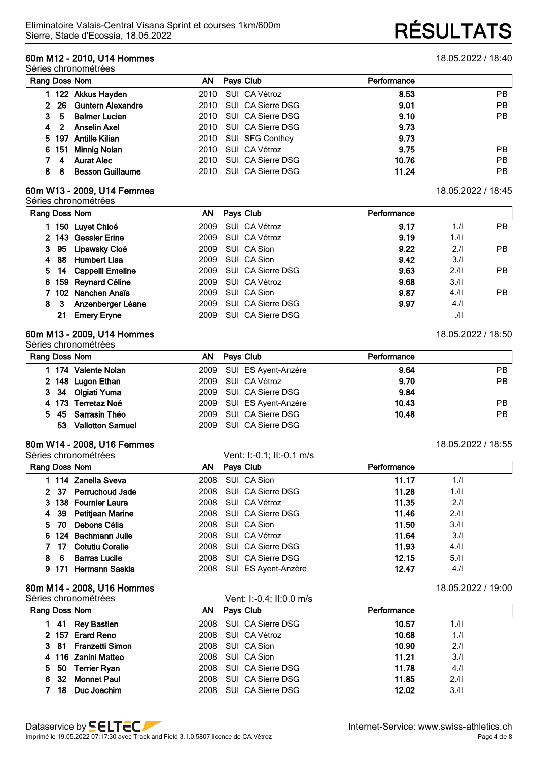#### Séries chronométrées

Sierre, Stade d'Ecossia, 18.05.2022 **RÉSULTATS**

|   |                | 60m M12 - 2010, U14 Hommes<br>Séries chronométrées |      |                        |             | 18.05.2022 / 18:40 |
|---|----------------|----------------------------------------------------|------|------------------------|-------------|--------------------|
|   |                | Rang Doss Nom                                      | AN.  | Pays Club              | Performance |                    |
|   |                | 1 122 Akkus Hayden                                 | 2010 | SUI CA Vétroz          | 8.53        | PB.                |
|   |                | 2 26 Guntern Alexandre                             | 2010 | SUI CA Sierre DSG      | 9.01        | PB.                |
| 3 | 5.             | <b>Balmer Lucien</b>                               | 2010 | SUI CA Sierre DSG      | 9.10        | PB.                |
| 4 | $\overline{2}$ | <b>Anselin Axel</b>                                | 2010 | SUI CA Sierre DSG      | 9.73        |                    |
|   |                | 5 197 Antille Kilian                               | 2010 | <b>SUI SFG Conthey</b> | 9.73        |                    |
|   |                | 6 151 Minnig Nolan                                 | 2010 | SUI CA Vétroz          | 9.75        | PB.                |
|   | 4              | <b>Aurat Alec</b>                                  | 2010 | SUI CA Sierre DSG      | 10.76       | <b>PB</b>          |
| 8 | -8             | <b>Besson Guillaume</b>                            | 2010 | SUI CA Sierre DSG      | 11.24       | PB.                |

#### **60m W13 - 2009, U14 Femmes** 18.05.2022 / 18:45 Séries chronométrées

| Rang Doss Nom |                      | AΝ   | Pays Club         | Performance |          |           |
|---------------|----------------------|------|-------------------|-------------|----------|-----------|
|               | 150 Luyet Chloé      | 2009 | SUI CA Vétroz     | 9.17        | 1.1      | <b>PB</b> |
|               | 2 143 Gessler Erine  | 2009 | SUI CA Vétroz     | 9.19        | $1.$ /II |           |
| 95<br>З.      | Lipawsky Cloé        | 2009 | SUI CA Sion       | 9.22        | 2.1      | PB.       |
| 88<br>4       | <b>Humbert Lisa</b>  | 2009 | SUI CA Sion       | 9.42        | 3.1      |           |
| 14<br>5.      | Cappelli Emeline     | 2009 | SUI CA Sierre DSG | 9.63        | 2.11     | PB.       |
|               | 6 159 Reynard Céline | 2009 | SUI CA Vétroz     | 9.68        | 3.11     |           |
|               | 7 102 Nanchen Anaïs  | 2009 | SUI CA Sion       | 9.87        | 4.11     | PB.       |
| 8<br>3        | Anzenberger Léane    | 2009 | SUI CA Sierre DSG | 9.97        | 4.1      |           |
| 21            | <b>Emery Eryne</b>   | 2009 | SUI CA Sierre DSG |             | JII      |           |

#### **60m M13 - 2009, U14 Hommes** 18.05.2022 / 18:50

| Séries chronométrées           |                          |             |           |
|--------------------------------|--------------------------|-------------|-----------|
| Rang Doss Nom                  | Pays Club<br>AN.         | Performance |           |
| 1 174 Valente Nolan            | 2009 SUI ES Ayent-Anzère | 9.64        | PB.       |
| 2 148 Lugon Ethan              | 2009 SUI CA Vétroz       | 9.70        | <b>PB</b> |
| 3 34 Olgiati Yuma              | 2009 SUI CA Sierre DSG   | 9.84        |           |
| 4 173 Terretaz Noé             | 2009 SUI ES Ayent-Anzère | 10.43       | PB.       |
| 5 45 Sarrasin Théo             | 2009 SUI CA Sierre DSG   | 10.48       | PB.       |
| <b>Vallotton Samuel</b><br>53. | 2009 SUI CA Sierre DSG   |             |           |

#### **80m W14 - 2008, U16 Femmes**<br>
Séries chronométrées<br>
Séries chronométrées<br>
18.05.2022 / 18:55 Séries chronométrées **Rang Doss Nom AN Pays Club Performance 114 Zanella Sveva** 2008 SUI CA Sion **11.17** 1./I **37 Perruchoud Jade** 2008 SUI CA Sierre DSG **11.28** 1./II **138 Fournier Laura** 2008 SUI CA Vétroz **11.35** 2./I **39 Petitjean Marine** 2008 SUI CA Sierre DSG **11.46** 2./II **70 Debons Célia** 2008 SUI CA Sion **11.50** 3./II **124 Bachmann Julie** 2008 SUI CA Vétroz **11.64** 3./I **17 Cotutiu Coralie** 2008 SUI CA Sierre DSG **11.93** 4./II **6 Barras Lucile** 2008 SUI CA Sierre DSG **12.15** 5./II **171 Hermann Saskia** 2008 SUI ES Ayent-Anzère **12.47** 4./I

## **80m M14 - 2008, U16 Hommes** 18.05.2022 / 19:00

|               |    | Séries chronométrées |    | Vent: I:-0.4; II:0.0 m/s |             |      |  |
|---------------|----|----------------------|----|--------------------------|-------------|------|--|
| Rang Doss Nom |    |                      | AN | Pays Club                | Performance |      |  |
|               | 41 | <b>Rey Bastien</b>   |    | 2008 SUI CA Sierre DSG   | 10.57       | 1.11 |  |
|               |    | 2 157 Erard Reno     |    | 2008 SUI CA Vétroz       | 10.68       | 1.1  |  |
|               |    | 3 81 Franzetti Simon |    | 2008 SUI CA Sion         | 10.90       | 2.1  |  |
|               |    | 4 116 Zanini Matteo  |    | 2008 SUI CA Sion         | 11.21       | 3.1  |  |
|               |    | 5 50 Terrier Ryan    |    | 2008 SUI CA Sierre DSG   | 11.78       | 4.1  |  |
| 6.            |    | 32 Monnet Paul       |    | 2008 SUI CA Sierre DSG   | 11.85       | 2.11 |  |
|               | 18 | Duc Joachim          |    | 2008 SUI CA Sierre DSG   | 12.02       | 3.11 |  |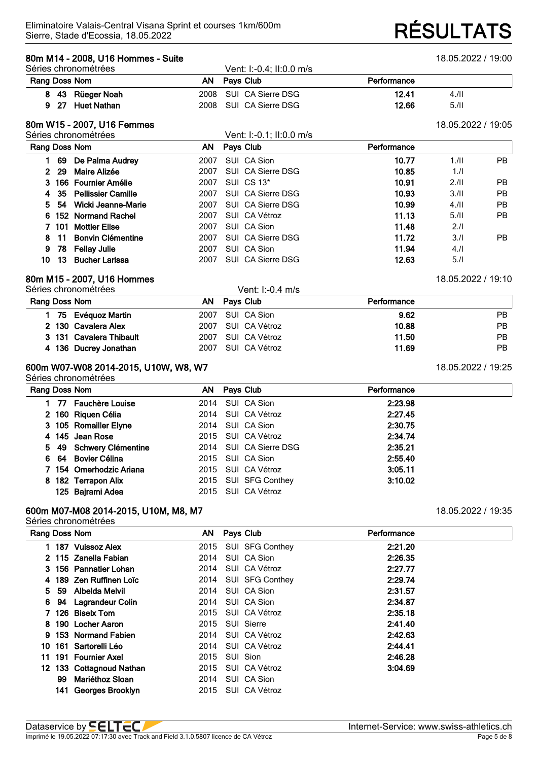# Sierre, Stade d'Ecossia, 18.05.2022 **RÉSULTATS**

| 8              | 43  | Rüeger Noah                | 2008 | SUI CA Sierre DSG        | 12.41       | 4.11               |           |
|----------------|-----|----------------------------|------|--------------------------|-------------|--------------------|-----------|
| 9              | 27  | <b>Huet Nathan</b>         | 2008 | SUI CA Sierre DSG        | 12.66       | 5.11               |           |
|                |     | 80m W15 - 2007, U16 Femmes |      |                          |             | 18.05.2022 / 19:05 |           |
|                |     | Séries chronométrées       |      | Vent: I:-0.1; II:0.0 m/s |             |                    |           |
|                |     | Rang Doss Nom              | ΑN   | Pays Club                | Performance |                    |           |
| 1.             | 69  | De Palma Audrey            | 2007 | SUI CA Sion              | 10.77       | 1.11               | <b>PB</b> |
| $\overline{2}$ | 29  | Maire Alizée               | 2007 | SUI CA Sierre DSG        | 10.85       | 1.1                |           |
| 3              | 166 | <b>Fournier Amélie</b>     | 2007 | <b>SUI CS 13*</b>        | 10.91       | 2.11               | <b>PB</b> |
| 4              | 35  | <b>Pellissier Camille</b>  | 2007 | SUI CA Sierre DSG        | 10.93       | 3.11               | <b>PB</b> |
| 5.             | 54  | Wicki Jeanne-Marie         | 2007 | SUI CA Sierre DSG        | 10.99       | 4.11               | <b>PB</b> |
| 6              | 152 | <b>Normand Rachel</b>      | 2007 | SUI CA Vétroz            | 11.13       | 5.11               | <b>PB</b> |
| 7              | 101 | <b>Mottier Elise</b>       | 2007 | SUI CA Sion              | 11.48       | 2.1                |           |
| 8              | 11  | <b>Bonvin Clémentine</b>   | 2007 | SUI CA Sierre DSG        | 11.72       | 3.1                | <b>PB</b> |
| 9              | 78  | <b>Fellay Julie</b>        | 2007 | SUI CA Sion              | 11.94       | 4.1                |           |
| 10             | 13  | <b>Bucher Larissa</b>      | 2007 | SUI CA Sierre DSG        | 12.63       | 5.1                |           |
|                |     | 80m M15 - 2007, U16 Hommes |      |                          |             | 18.05.2022 / 19:10 |           |
|                |     | Séries chronométrées       |      | Vent: I:-0.4 m/s         |             |                    |           |
|                |     | Rang Doss Nom              | ΑN   | Pays Club                | Performance |                    |           |
|                | 75  | Evéquoz Martin             | 2007 | SUI CA Sion              | 9.62        |                    | <b>PB</b> |
| $\mathbf{2}$   | 130 | Cavalera Alex              | 2007 | <b>SUI</b><br>CA Vétroz  | 10.88       |                    | <b>PB</b> |
| 3.             | 131 | <b>Cavalera Thibault</b>   | 2007 | SUI CA Vétroz            | 11.50       |                    | PB        |

**80m M14 - 2008, U16 Hommes - Suite** Vent: I:-0.4; II:0.0 m/s 18.05.2022 / 19:00<br>Séries chronométrées **18.05.2022 / 19:00** 

**Rang Doss Nom AN Pays Club Performance**

#### **600m W07-W08 2014-2015, U10W, W8, W7** 18.05.2022 / 19:25

Séries chronométrées

Séries chronométrées

| Rang Doss Nom           | AN Pays Club           | Performance |
|-------------------------|------------------------|-------------|
| 1 77 Fauchère Louise    | 2014 SUI CA Sion       | 2:23.98     |
| 2 160 Riquen Célia      | 2014 SUI CA Vétroz     | 2:27.45     |
| 3 105 Romailler Elyne   | 2014 SUI CA Sion       | 2:30.75     |
| 4 145 Jean Rose         | 2015 SUI CA Vétroz     | 2:34.74     |
| 5 49 Schwery Clémentine | 2014 SUI CA Sierre DSG | 2:35.21     |
| 6 64 Bovier Célina      | 2015 SUI CA Sion       | 2:55.40     |
| 7 154 Omerhodzic Ariana | 2015 SUI CA Vétroz     | 3:05.11     |
| 8 182 Terrapon Alix     | 2015 SUI SFG Conthey   | 3:10.02     |
| 125 Bajrami Adea        | 2015 SUI CA Vétroz     |             |

**136 Ducrey Jonathan** 2007 SUI CA Vétroz **11.69** PB

#### **600m M07-M08 2014-2015, U10M, M8, M7** 18.05.2022 / 19:35 Séries chronométrées

|    | Rang Doss Nom            | AN   | <b>Pays Club</b>   | Performance |
|----|--------------------------|------|--------------------|-------------|
|    | 1 187 Vuissoz Alex       | 2015 | SUI SFG Conthey    | 2:21.20     |
|    | 2 115 Zanella Fabian     | 2014 | SUI CA Sion        | 2:26.35     |
|    | 3 156 Pannatier Lohan    | 2014 | SUI CA Vétroz      | 2:27.77     |
|    | 4 189 Zen Ruffinen Loïc  | 2014 | SUI SFG Conthey    | 2:29.74     |
|    | 5 59 Albelda Melvil      | 2014 | SUI CA Sion        | 2:31.57     |
| 6. | 94 Lagrandeur Colin      | 2014 | SUI CA Sion        | 2:34.87     |
|    | 7 126 Biselx Tom         | 2015 | SUI CA Vétroz      | 2:35.18     |
|    | 8 190 Locher Aaron       | 2015 | SUI Sierre         | 2:41.40     |
|    | 9 153 Normand Fabien     | 2014 | SUI CA Vétroz      | 2:42.63     |
|    | 10 161 Sartorelli Léo    | 2014 | SUI CA Vétroz      | 2:44.41     |
| 11 | 191 Fournier Axel        | 2015 | SUI Sion           | 2:46.28     |
|    | 12 133 Cottagnoud Nathan | 2015 | SUI CA Vétroz      | 3:04.69     |
|    | 99 Mariéthoz Sloan       | 2014 | SUI CA Sion        |             |
|    | 141 Georges Brooklyn     |      | 2015 SUI CA Vétroz |             |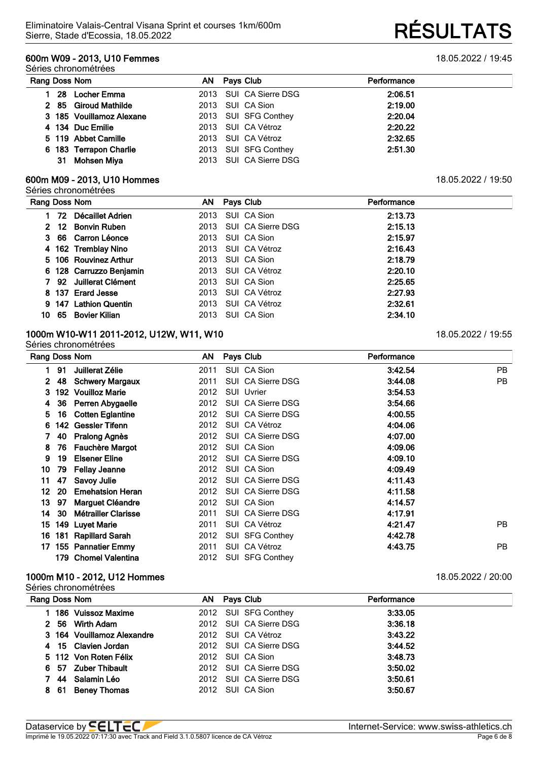#### **600m W09 - 2013, U10 Femmes** 18.05.2022 / 19:45

### Séries chronométrées

Sierre, Stade d'Ecossia, 18.05.2022 **RÉSULTATS**

| Rang Doss Nom |     |                          | AN Pays Club           | Performance |  |
|---------------|-----|--------------------------|------------------------|-------------|--|
|               | 28. | Locher Emma              | 2013 SUI CA Sierre DSG | 2:06.51     |  |
|               |     | 2 85 Giroud Mathilde     | 2013 SUI CA Sion       | 2:19.00     |  |
|               |     | 3 185 Vouillamoz Alexane | 2013 SUI SFG Conthey   | 2:20.04     |  |
|               |     | 4 134 Duc Emilie         | 2013 SUI CA Vétroz     | 2:20.22     |  |
|               |     | 5 119 Abbet Camille      | 2013 SUI CA Vétroz     | 2:32.65     |  |
|               |     | 6 183 Terrapon Charlie   | 2013 SUI SFG Conthey   | 2:51.30     |  |
|               |     | 31 Mohsen Miva           | 2013 SUI CA Sierre DSG |             |  |

#### **600m M09 - 2013, U10 Hommes** 18.05.2022 / 19:50

### Séries chronométrées

|  | Rang Doss Nom           | AN Pays Club |                        | Performance |
|--|-------------------------|--------------|------------------------|-------------|
|  | 1 72 Décaillet Adrien   |              | 2013 SUI CA Sion       | 2:13.73     |
|  | 2 12 Bonvin Ruben       |              | 2013 SUI CA Sierre DSG | 2:15.13     |
|  | 3 66 Carron Léonce      |              | 2013 SUI CA Sion       | 2:15.97     |
|  | 4 162 Tremblay Nino     |              | 2013 SUI CA Vétroz     | 2:16.43     |
|  | 5 106 Rouvinez Arthur   |              | 2013 SUI CA Sion       | 2:18.79     |
|  | 6 128 Carruzzo Benjamin |              | 2013 SUI CA Vétroz     | 2:20.10     |
|  | 7 92 Juillerat Clément  |              | 2013 SUI CA Sion       | 2:25.65     |
|  | 8 137 Erard Jesse       |              | 2013 SUI CA Vétroz     | 2:27.93     |
|  | 9 147 Lathion Quentin   |              | 2013 SUI CA Vétroz     | 2:32.61     |
|  | 10 65 Bovier Kilian     |              | 2013 SUI CA Sion       | 2:34.10     |
|  |                         |              |                        |             |

#### **1000m W10-W11 2011-2012, U12W, W11, W10** 18.05.2022 / 19:55 Séries chronométrées

| Rang Doss Nom |      |                            | ΑN   | Pays Club         | Performance |           |
|---------------|------|----------------------------|------|-------------------|-------------|-----------|
| 1.            | 91   | Juillerat Zélie            | 2011 | SUI CA Sion       | 3:42.54     | PB.       |
| $\mathbf{2}$  | 48   | <b>Schwery Margaux</b>     | 2011 | SUI CA Sierre DSG | 3:44.08     | <b>PB</b> |
| 3.            |      | 192 Vouilloz Marie         | 2012 | <b>SUI Uvrier</b> | 3:54.53     |           |
| 4             |      | 36 Perren Abygaelle        | 2012 | SUI CA Sierre DSG | 3:54.66     |           |
| 5.            | 16   | <b>Cotten Eglantine</b>    | 2012 | SUI CA Sierre DSG | 4:00.55     |           |
| 6             | 142  | <b>Gessler Tifenn</b>      | 2012 | SUI CA Vétroz     | 4:04.06     |           |
| 7             | 40   | <b>Pralong Agnès</b>       | 2012 | SUI CA Sierre DSG | 4:07.00     |           |
| 8             | 76   | <b>Fauchère Margot</b>     | 2012 | SUI CA Sion       | 4:09.06     |           |
| 9             | 19   | <b>Elsener Eline</b>       | 2012 | SUI CA Sierre DSG | 4:09.10     |           |
| 10            | 79   | <b>Fellay Jeanne</b>       | 2012 | SUI CA Sion       | 4:09.49     |           |
| 11            | 47   | Savoy Julie                | 2012 | SUI CA Sierre DSG | 4:11.43     |           |
| 12.           | 20   | <b>Emehatsion Heran</b>    | 2012 | SUI CA Sierre DSG | 4:11.58     |           |
| 13            | 97   | <b>Marguet Cléandre</b>    | 2012 | SUI CA Sion       | 4:14.57     |           |
| 14            | 30   | <b>Métrailler Clarisse</b> | 2011 | SUI CA Sierre DSG | 4:17.91     |           |
| 15            |      | 149 Luyet Marie            | 2011 | SUI CA Vétroz     | 4:21.47     | PB.       |
| 16            |      | 181 Rapillard Sarah        | 2012 | SUI SFG Conthey   | 4:42.78     |           |
| 17            |      | 155 Pannatier Emmy         | 2011 | SUI CA Vétroz     | 4:43.75     | PB.       |
|               | 179. | <b>Chomel Valentina</b>    | 2012 | SUI SFG Conthey   |             |           |

### **1000m M10 - 2012, U12 Hommes** 18.05.2022 / 20:00

|  | Séries chronométrées |
|--|----------------------|
|  |                      |

| Rang Doss Nom              | AN Pays Club           | Performance |  |
|----------------------------|------------------------|-------------|--|
| 186 Vuissoz Maxime         | 2012 SUI SFG Conthey   | 3:33.05     |  |
| 2 56 Wirth Adam            | 2012 SUI CA Sierre DSG | 3:36.18     |  |
| 3 164 Vouillamoz Alexandre | 2012 SUI CA Vétroz     | 3:43.22     |  |
| 4 15 Clavien Jordan        | 2012 SUI CA Sierre DSG | 3:44.52     |  |
| 5 112 Von Roten Félix      | 2012 SUI CA Sion       | 3:48.73     |  |
| 6 57 Zuber Thibault        | 2012 SUI CA Sierre DSG | 3:50.02     |  |
| Salamin Léo<br>- 44        | 2012 SUI CA Sierre DSG | 3:50.61     |  |
| <b>Beney Thomas</b><br>861 | 2012 SUI CA Sion       | 3:50.67     |  |

Dataservice by SELTEC And the control of the control of the control of the control of the control of the control of t Imprimé le 19.05.2022 07:17:30 avec Track and Field 3.1.0.5807 licence de CA Vétroz Page 6 de 8 de 8 de 8 de 8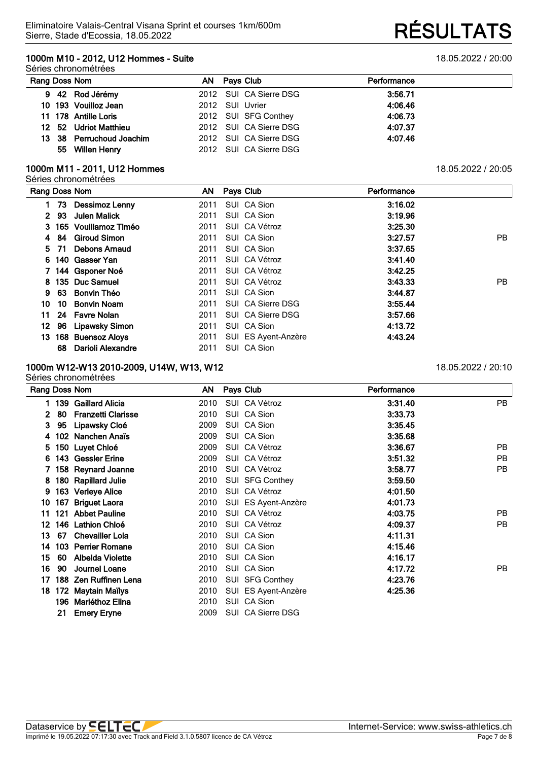#### **1000m M10 - 2012, U12 Hommes - Suite** 18.05.2022 / 20:00

Séries chronométrées

| Rang Doss Nom |                          | AN Pays Club           | Performance |
|---------------|--------------------------|------------------------|-------------|
|               | 9 42 Rod Jérémy          | 2012 SUI CA Sierre DSG | 3:56.71     |
|               | 10 193 Vouilloz Jean     | 2012 SUI Uvrier        | 4:06.46     |
|               | 11 178 Antille Loris     | 2012 SUI SFG Conthey   | 4:06.73     |
|               | 12 52 Udriot Matthieu    | 2012 SUI CA Sierre DSG | 4:07.37     |
|               | 13 38 Perruchoud Joachim | 2012 SUI CA Sierre DSG | 4:07.46     |
|               | 55 Willen Henry          | 2012 SUI CA Sierre DSG |             |

#### **1000m M11 - 2011, U12 Hommes** 18.05.2022 / 20:05

Séries chronométrées

| Rang Doss Nom |      | AN                   | Pays Club | Performance         |         |     |
|---------------|------|----------------------|-----------|---------------------|---------|-----|
|               | 73.  | Dessimoz Lenny       | 2011      | SUI CA Sion         | 3:16.02 |     |
| 2.            | 93   | Julen Malick         | 2011      | SUI CA Sion         | 3:19.96 |     |
| 3.            |      | 165 Vouillamoz Timéo | 2011      | SUI CA Vétroz       | 3:25.30 |     |
|               | 4 84 | <b>Giroud Simon</b>  | 2011      | SUI CA Sion         | 3:27.57 | PB. |
| 5.            | -71  | Debons Arnaud        | 2011      | SUI CA Sion         | 3:37.65 |     |
| 6.            |      | 140 Gasser Yan       | 2011      | SUI CA Vétroz       | 3:41.40 |     |
|               |      | 7 144 Gsponer Noé    | 2011      | SUI CA Vétroz       | 3:42.25 |     |
| 8.            |      | 135 Duc Samuel       | 2011      | SUI CA Vétroz       | 3:43.33 | PB. |
| 9             | 63   | Bonvin Théo          | 2011      | SUI CA Sion         | 3:44.87 |     |
| 10            | 10.  | <b>Bonvin Noam</b>   | 2011      | SUI CA Sierre DSG   | 3:55.44 |     |
| 11.           |      | 24 Favre Nolan       | 2011      | SUI CA Sierre DSG   | 3:57.66 |     |
| 12.           |      | 96 Lipawsky Simon    | 2011      | SUI CA Sion         | 4:13.72 |     |
| 13.           |      | 168 Buensoz Aloys    | 2011      | SUI ES Ayent-Anzère | 4:43.24 |     |
|               | 68   | Darioli Alexandre    | 2011      | SUI CA Sion         |         |     |

#### **1000m W12-W13 2010-2009, U14W, W13, W12** 18.05.2022 / 20:10

#### Séries chronométrées

**Rang Doss Nom AN Pays Club Performance 139 Gaillard Alicia** 2010 SUI CA Vétroz **3:31.40** PB **80 Franzetti Clarisse** 2010 SUI CA Sion **3:33.73 95 Lipawsky Cloé** 2009 SUI CA Sion **3:35.45 102 Nanchen Anaïs** 2009 SUI CA Sion **3:35.68 150 Luyet Chloé** 2009 SUI CA Vétroz **3:36.67** PB **143 Gessler Erine** 2009 SUI CA Vétroz **3:51.32** PB **158 Reynard Joanne** 2010 SUI CA Vétroz **3:58.77** PB **180 Rapillard Julie** 2010 SUI SFG Conthey **3:59.50 163 Verleye Alice** 2010 SUI CA Vétroz **4:01.50 167 Briguet Laora** 2010 SUI ES Ayent-Anzère **4:01.73 121 Abbet Pauline** 2010 SUI CA Vétroz **4:03.75** PB **146 Lathion Chloé** 2010 SUI CA Vétroz **4:09.37** PB **67 Chevailler Lola** 2010 SUI CA Sion **4:11.31 103 Perrier Romane** 2010 SUI CA Sion **4:15.46 60 Albelda Violette** 2010 SUI CA Sion **4:16.17 90 Journel Loane** 2010 SUI CA Sion **4:17.72** PB **188 Zen Ruffinen Lena** 2010 SUI SFG Conthey **4:23.76 172 Maytain Maïlys** 2010 SUI ES Ayent-Anzère **4:25.36 Mariéthoz Elina** 2010 SUI CA Sion **Emery Eryne** 2009 SUI CA Sierre DSG